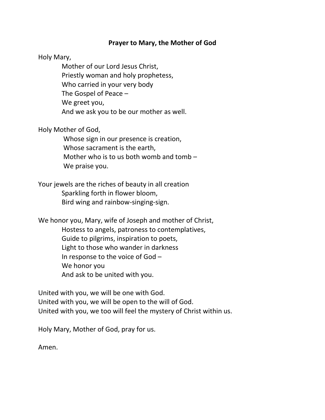## **Prayer to Mary, the Mother of God**

Holy Mary,

 Mother of our Lord Jesus Christ, Priestly woman and holy prophetess, Who carried in your very body The Gospel of Peace – We greet you, And we ask you to be our mother as well.

Holy Mother of God,

 Whose sign in our presence is creation, Whose sacrament is the earth, Mother who is to us both womb and tomb – We praise you.

Your jewels are the riches of beauty in all creation Sparkling forth in flower bloom, Bird wing and rainbow-singing-sign.

We honor you, Mary, wife of Joseph and mother of Christ,

 Hostess to angels, patroness to contemplatives, Guide to pilgrims, inspiration to poets, Light to those who wander in darkness In response to the voice of God – We honor you And ask to be united with you.

United with you, we will be one with God. United with you, we will be open to the will of God. United with you, we too will feel the mystery of Christ within us.

Holy Mary, Mother of God, pray for us.

Amen.